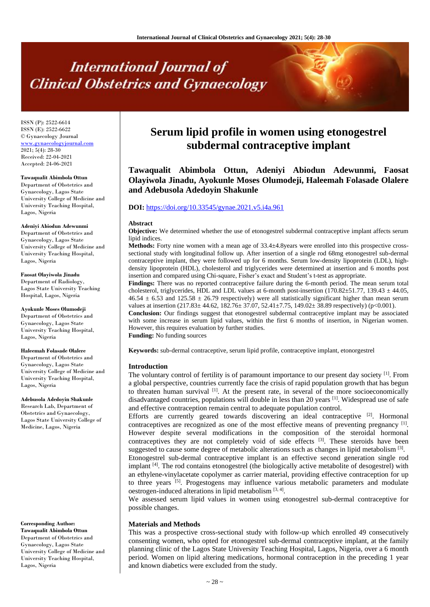# **International Journal of Clinical Obstetrics and Gynaecology**

ISSN (P): 2522-6614 ISSN (E): 2522-6622 © Gynaecology Journal <www.gynaecologyjournal.com> 2021; 5(4): 28-30 Received: 22-04-2021 Accepted: 24-06-2021

#### **Tawaqualit Abimbola Ottun**

Department of Obstetrics and Gynaecology, Lagos State University College of Medicine and University Teaching Hospital, Lagos, Nigeria

#### **Adeniyi Abiodun Adewunmi**

Department of Obstetrics and Gynaecology, Lagos State University College of Medicine and University Teaching Hospital, Lagos, Nigeria

#### **Faosat Olayiwola Jinadu**

Department of Radiology, Lagos State University Teaching Hospital, Lagos, Nigeria

**Ayokunle Moses Olumodeji** Department of Obstetrics and Gynaecology, Lagos State University Teaching Hospital, Lagos, Nigeria

#### **Haleemah Folasade Olalere**

Department of Obstetrics and Gynaecology, Lagos State University College of Medicine and University Teaching Hospital, Lagos, Nigeria

#### **Adebusola Adedoyin Shakunle**

Research Lab, Department of Obstetrics and Gynaecology, Lagos State University College of Medicine, Lagos, Nigeria

#### **Corresponding Author: Tawaqualit Abimbola Ottun** Department of Obstetrics and Gynaecology, Lagos State University College of Medicine and University Teaching Hospital, Lagos, Nigeria

## **Serum lipid profile in women using etonogestrel subdermal contraceptive implant**

### **Tawaqualit Abimbola Ottun, Adeniyi Abiodun Adewunmi, Faosat Olayiwola Jinadu, Ayokunle Moses Olumodeji, Haleemah Folasade Olalere and Adebusola Adedoyin Shakunle**

#### **DOI:** <https://doi.org/10.33545/gynae.2021.v5.i4a.961>

#### **Abstract**

**Objective:** We determined whether the use of etonogestrel subdermal contraceptive implant affects serum lipid indices.

**Methods:** Forty nine women with a mean age of 33.4±4.8years were enrolled into this prospective crosssectional study with longitudinal follow up. After insertion of a single rod 68mg etonogestrel sub-dermal contraceptive implant, they were followed up for 6 months. Serum low-density lipoprotein (LDL), highdensity lipoprotein (HDL), cholesterol and triglycerides were determined at insertion and 6 months post insertion and compared using Chi-square, Fisher's exact and Student's t-test as appropriate.

**Findings:** There was no reported contraceptive failure during the 6-month period. The mean serum total cholesterol, triglycerides, HDL and LDL values at 6-month post-insertion (170.82 $\pm$ 51.77, 139.43  $\pm$  44.05,  $46.54 \pm 6.53$  and  $125.58 \pm 26.79$  respectively) were all statistically significant higher than mean serum values at insertion  $(217.83 \pm 44.62, 182.76 \pm 37.07, 52.41 \pm 7.75, 149.02 \pm 38.89$  respectively) (p<0.001).

**Conclusion:** Our findings suggest that etonogestrel subdermal contraceptive implant may be associated with some increase in serum lipid values, within the first 6 months of insertion, in Nigerian women. However, this requires evaluation by further studies.

**Funding:** No funding sources

**Keywords:** sub-dermal contraceptive, serum lipid profile, contraceptive implant, etonorgestrel

#### **Introduction**

The voluntary control of fertility is of paramount importance to our present day society <sup>[1]</sup>. From a global perspective, countries currently face the crisis of rapid population growth that has begun to threaten human survival  $[1]$ . At the present rate, in several of the more socioeconomically disadvantaged countries, populations will double in less than 20 years <sup>[1]</sup>. Widespread use of safe and effective contraception remain central to adequate population control.

Efforts are currently geared towards discovering an ideal contraceptive [2]. Hormonal contraceptives are recognized as one of the most effective means of preventing pregnancy  $[1]$ . However despite several modifications in the composition of the steroidal hormonal contraceptives they are not completely void of side effects [3]. These steroids have been suggested to cause some degree of metabolic alterations such as changes in lipid metabolism  $[3]$ .

Etonogestrel sub-dermal contraceptive implant is an effective second generation single rod implant [4]. The rod contains etonogestrel (the biologically active metabolite of desogestrel) with an ethylene-vinylacetate copolymer as carrier material, providing effective contraception for up to three years <sup>[5]</sup>. Progestogens may influence various metabolic parameters and modulate oestrogen-induced alterations in lipid metabolism [3, 4].

We assessed serum lipid values in women using etonogestrel sub-dermal contraceptive for possible changes.

#### **Materials and Methods**

This was a prospective cross-sectional study with follow-up which enrolled 49 consecutively consenting women, who opted for etonogestrel sub-dermal contraceptive implant, at the family planning clinic of the Lagos State University Teaching Hospital, Lagos, Nigeria, over a 6 month period. Women on lipid altering medications, hormonal contraception in the preceding 1 year and known diabetics were excluded from the study.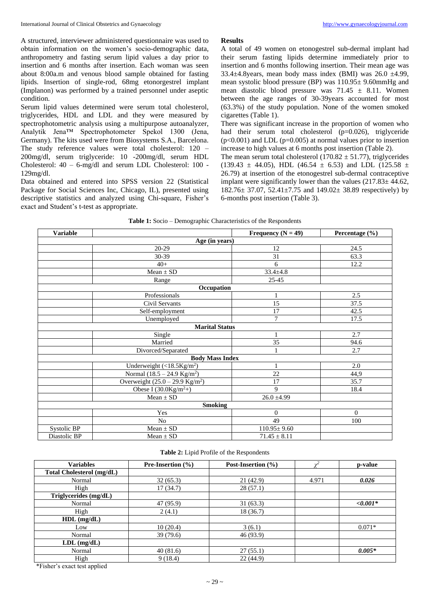A structured, interviewer administered questionnaire was used to obtain information on the women's socio-demographic data, anthropometry and fasting serum lipid values a day prior to insertion and 6 months after insertion. Each woman was seen about 8:00a.m and venous blood sample obtained for fasting lipids. Insertion of single-rod, 68mg etonorgestrel implant (Implanon) was performed by a trained personnel under aseptic condition.

Serum lipid values determined were serum total cholesterol, triglycerides, HDL and LDL and they were measured by spectrophotometric analysis using a multipurpose autoanalyzer, Analytik Jena™ Spectrophotometer Spekol 1300 (Jena, Germany). The kits used were from Biosystems S.A., Barcelona. The study reference values were total cholesterol: 120 – 200mg/dl, serum triglyceride: 10 -200mg/dl, serum HDL Cholesterol: 40 – 6-mg/dl and serum LDL Cholesterol: 100 - 129mg/dl.

Data obtained and entered into SPSS version 22 (Statistical Package for Social Sciences Inc, Chicago, IL), presented using descriptive statistics and analyzed using Chi-square, Fisher's exact and Student's t-test as appropriate.

#### **Results**

A total of 49 women on etonogestrel sub-dermal implant had their serum fasting lipids determine immediately prior to insertion and 6 months following insertion. Their mean age was 33.4 $\pm$ 4.8years, mean body mass index (BMI) was 26.0  $\pm$ 4.99, mean systolic blood pressure (BP) was 110.95± 9.60mmHg and mean diastolic blood pressure was  $71.45 \pm 8.11$ . Women between the age ranges of 30-39years accounted for most (63.3%) of the study population. None of the women smoked cigarettes (Table 1).

There was significant increase in the proportion of women who had their serum total cholesterol (p=0.026), triglyceride  $(p<0.001)$  and LDL  $(p=0.005)$  at normal values prior to insertion increase to high values at 6 months post insertion (Table 2).

The mean serum total cholesterol (170.82  $\pm$  51.77), triglycerides (139.43  $\pm$  44.05), HDL (46.54  $\pm$  6.53) and LDL (125.58  $\pm$ 26.79) at insertion of the etonogestrel sub-dermal contraceptive implant were significantly lower than the values  $(217.83 \pm 44.62)$ , 182.76± 37.07, 52.41±7.75 and 149.02± 38.89 respectively) by 6-months post insertion (Table 3).

| <b>Variable</b> |                                           | Frequency ( $N = 49$ ) | Percentage (%) |
|-----------------|-------------------------------------------|------------------------|----------------|
|                 | Age (in years)                            |                        |                |
|                 | 20-29                                     | 12                     | 24.5           |
|                 | 30-39                                     | 31                     | 63.3           |
|                 | $40+$                                     | 6                      | 12.2           |
|                 | $Mean \pm SD$                             | $33.4 \pm 4.8$         |                |
|                 | Range                                     | $25 - 45$              |                |
|                 | Occupation                                |                        |                |
|                 | Professionals                             | 1                      | 2.5            |
|                 | Civil Servants                            | 15                     | 37.5           |
|                 | Self-employment                           | 17                     | 42.5           |
|                 | Unemployed                                | $\tau$                 | 17.5           |
|                 | <b>Marital Status</b>                     |                        |                |
|                 | Single                                    | 1                      | 2.7            |
|                 | Married                                   | 35                     | 94.6           |
|                 | Divorced/Separated                        | $\mathbf{1}$           | 2.7            |
|                 | <b>Body Mass Index</b>                    |                        |                |
|                 | Underweight $(<18.5$ Kg/m <sup>2</sup> )  | $\mathbf{1}$           | 2.0            |
|                 | Normal $(18.5 - 24.9 \text{ Kg/m}^2)$     | 22                     | 44,9           |
|                 | Overweight $(25.0 - 29.9 \text{ Kg/m}^2)$ | 17                     | 35.7           |
|                 | Obese I $(30.0$ Kg/m <sup>2</sup> +)      | 9                      | 18.4           |
|                 | $Mean \pm SD$                             | $26.0 \pm 4.99$        |                |
|                 | <b>Smoking</b>                            |                        |                |
|                 | Yes                                       | $\mathbf{0}$           | $\Omega$       |
|                 | No                                        | 49                     | 100            |
| Systolic BP     | $Mean \pm SD$                             | $110.95 \pm 9.60$      |                |
| Diastolic BP    | $Mean \pm SD$                             | $71.45 \pm 8.11$       |                |

|  | <b>Table 1:</b> Socio – Demographic Characteristics of the Respondents |  |
|--|------------------------------------------------------------------------|--|
|  |                                                                        |  |

**Table 2:** Lipid Profile of the Respondents

| <b>Variables</b>                 | <b>Pre-Insertion</b> $(\% )$ | Post-Insertion (%) |       | p-value    |
|----------------------------------|------------------------------|--------------------|-------|------------|
| <b>Total Cholesterol (mg/dL)</b> |                              |                    |       |            |
| Normal                           | 32(65.3)                     | 21(42.9)           | 4.971 | 0.026      |
| High                             | 17 (34.7)                    | 28(57.1)           |       |            |
| Triglycerides (mg/dL)            |                              |                    |       |            |
| Normal                           | 47 (95.9)                    | 31(63.3)           |       | $<,0.001*$ |
| High                             | 2(4.1)                       | 18 (36.7)          |       |            |
| $HDL$ (mg/dL)                    |                              |                    |       |            |
| Low                              | 10(20.4)                     | 3(6.1)             |       | $0.071*$   |
| Normal                           | 39(79.6)                     | 46(93.9)           |       |            |
| $LDL$ (mg/dL)                    |                              |                    |       |            |
| Normal                           | 40(81.6)                     | 27(55.1)           |       | $0.005*$   |
| High                             | 9(18.4)                      | 22(44.9)           |       |            |

\*Fisher's exact test applied